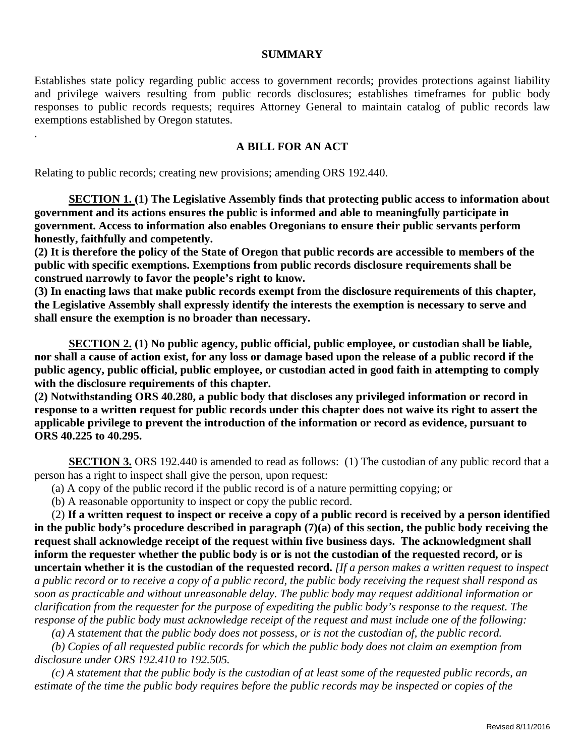## **SUMMARY**

Establishes state policy regarding public access to government records; provides protections against liability and privilege waivers resulting from public records disclosures; establishes timeframes for public body responses to public records requests; requires Attorney General to maintain catalog of public records law exemptions established by Oregon statutes.

## **A BILL FOR AN ACT**

Relating to public records; creating new provisions; amending ORS 192.440.

.

**SECTION 1. (1) The Legislative Assembly finds that protecting public access to information about government and its actions ensures the public is informed and able to meaningfully participate in government. Access to information also enables Oregonians to ensure their public servants perform honestly, faithfully and competently.**

**(2) It is therefore the policy of the State of Oregon that public records are accessible to members of the public with specific exemptions. Exemptions from public records disclosure requirements shall be construed narrowly to favor the people's right to know.**

**(3) In enacting laws that make public records exempt from the disclosure requirements of this chapter, the Legislative Assembly shall expressly identify the interests the exemption is necessary to serve and shall ensure the exemption is no broader than necessary.** 

**SECTION 2. (1) No public agency, public official, public employee, or custodian shall be liable, nor shall a cause of action exist, for any loss or damage based upon the release of a public record if the public agency, public official, public employee, or custodian acted in good faith in attempting to comply with the disclosure requirements of this chapter.** 

**(2) Notwithstanding ORS 40.280, a public body that discloses any privileged information or record in response to a written request for public records under this chapter does not waive its right to assert the applicable privilege to prevent the introduction of the information or record as evidence, pursuant to ORS 40.225 to 40.295.** 

**SECTION 3.** ORS 192.440 is amended to read as follows: (1) The custodian of any public record that a person has a right to inspect shall give the person, upon request:

(a) A copy of the public record if the public record is of a nature permitting copying; or

(b) A reasonable opportunity to inspect or copy the public record.

 (2) **If a written request to inspect or receive a copy of a public record is received by a person identified in the public body's procedure described in paragraph (7)(a) of this section, the public body receiving the request shall acknowledge receipt of the request within five business days. The acknowledgment shall inform the requester whether the public body is or is not the custodian of the requested record, or is uncertain whether it is the custodian of the requested record.** *[If a person makes a written request to inspect a public record or to receive a copy of a public record, the public body receiving the request shall respond as soon as practicable and without unreasonable delay. The public body may request additional information or clarification from the requester for the purpose of expediting the public body's response to the request. The response of the public body must acknowledge receipt of the request and must include one of the following:*

 *(a) A statement that the public body does not possess, or is not the custodian of, the public record.*

 *(b) Copies of all requested public records for which the public body does not claim an exemption from disclosure under ORS 192.410 to 192.505.*

 *(c) A statement that the public body is the custodian of at least some of the requested public records, an estimate of the time the public body requires before the public records may be inspected or copies of the*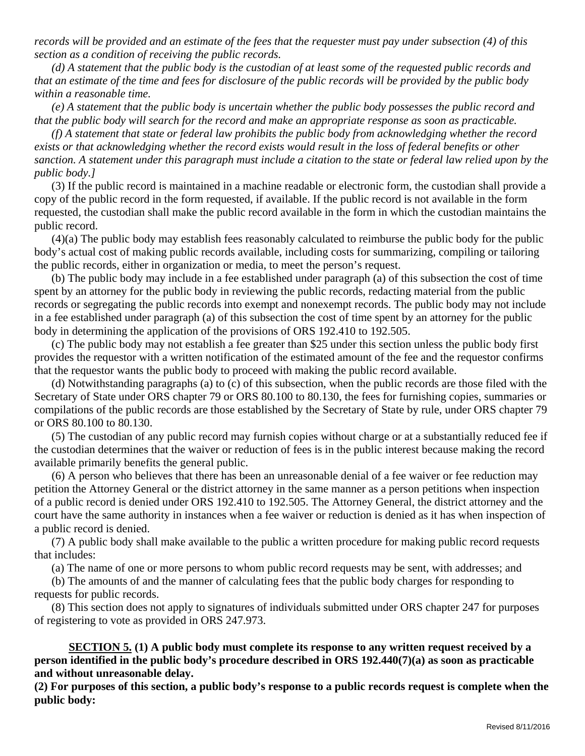*records will be provided and an estimate of the fees that the requester must pay under subsection (4) of this section as a condition of receiving the public records.*

 *(d) A statement that the public body is the custodian of at least some of the requested public records and that an estimate of the time and fees for disclosure of the public records will be provided by the public body within a reasonable time.*

 *(e) A statement that the public body is uncertain whether the public body possesses the public record and that the public body will search for the record and make an appropriate response as soon as practicable.*

 *(f) A statement that state or federal law prohibits the public body from acknowledging whether the record exists or that acknowledging whether the record exists would result in the loss of federal benefits or other sanction. A statement under this paragraph must include a citation to the state or federal law relied upon by the public body.]*

 (3) If the public record is maintained in a machine readable or electronic form, the custodian shall provide a copy of the public record in the form requested, if available. If the public record is not available in the form requested, the custodian shall make the public record available in the form in which the custodian maintains the public record.

 (4)(a) The public body may establish fees reasonably calculated to reimburse the public body for the public body's actual cost of making public records available, including costs for summarizing, compiling or tailoring the public records, either in organization or media, to meet the person's request.

 (b) The public body may include in a fee established under paragraph (a) of this subsection the cost of time spent by an attorney for the public body in reviewing the public records, redacting material from the public records or segregating the public records into exempt and nonexempt records. The public body may not include in a fee established under paragraph (a) of this subsection the cost of time spent by an attorney for the public body in determining the application of the provisions of ORS 192.410 to 192.505.

 (c) The public body may not establish a fee greater than \$25 under this section unless the public body first provides the requestor with a written notification of the estimated amount of the fee and the requestor confirms that the requestor wants the public body to proceed with making the public record available.

 (d) Notwithstanding paragraphs (a) to (c) of this subsection, when the public records are those filed with the Secretary of State under ORS chapter 79 or ORS 80.100 to 80.130, the fees for furnishing copies, summaries or compilations of the public records are those established by the Secretary of State by rule, under ORS chapter 79 or ORS 80.100 to 80.130.

 (5) The custodian of any public record may furnish copies without charge or at a substantially reduced fee if the custodian determines that the waiver or reduction of fees is in the public interest because making the record available primarily benefits the general public.

 (6) A person who believes that there has been an unreasonable denial of a fee waiver or fee reduction may petition the Attorney General or the district attorney in the same manner as a person petitions when inspection of a public record is denied under ORS 192.410 to 192.505. The Attorney General, the district attorney and the court have the same authority in instances when a fee waiver or reduction is denied as it has when inspection of a public record is denied.

 (7) A public body shall make available to the public a written procedure for making public record requests that includes:

(a) The name of one or more persons to whom public record requests may be sent, with addresses; and

 (b) The amounts of and the manner of calculating fees that the public body charges for responding to requests for public records.

 (8) This section does not apply to signatures of individuals submitted under ORS chapter 247 for purposes of registering to vote as provided in ORS 247.973.

**SECTION 5. (1) A public body must complete its response to any written request received by a person identified in the public body's procedure described in ORS 192.440(7)(a) as soon as practicable and without unreasonable delay.**

**(2) For purposes of this section, a public body's response to a public records request is complete when the public body:**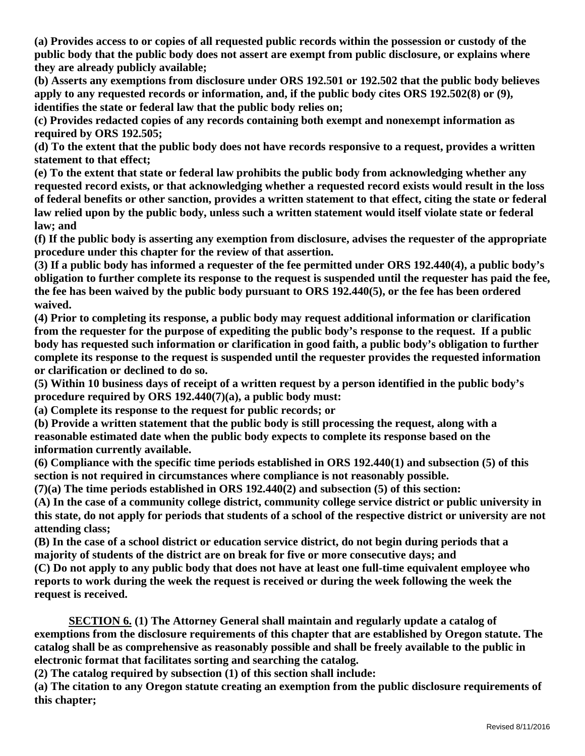**(a) Provides access to or copies of all requested public records within the possession or custody of the public body that the public body does not assert are exempt from public disclosure, or explains where they are already publicly available;**

**(b) Asserts any exemptions from disclosure under ORS 192.501 or 192.502 that the public body believes apply to any requested records or information, and, if the public body cites ORS 192.502(8) or (9), identifies the state or federal law that the public body relies on;** 

**(c) Provides redacted copies of any records containing both exempt and nonexempt information as required by ORS 192.505;**

**(d) To the extent that the public body does not have records responsive to a request, provides a written statement to that effect;**

**(e) To the extent that state or federal law prohibits the public body from acknowledging whether any requested record exists, or that acknowledging whether a requested record exists would result in the loss of federal benefits or other sanction, provides a written statement to that effect, citing the state or federal law relied upon by the public body, unless such a written statement would itself violate state or federal law; and**

**(f) If the public body is asserting any exemption from disclosure, advises the requester of the appropriate procedure under this chapter for the review of that assertion.**

**(3) If a public body has informed a requester of the fee permitted under ORS 192.440(4), a public body's obligation to further complete its response to the request is suspended until the requester has paid the fee, the fee has been waived by the public body pursuant to ORS 192.440(5), or the fee has been ordered waived.**

**(4) Prior to completing its response, a public body may request additional information or clarification from the requester for the purpose of expediting the public body's response to the request. If a public body has requested such information or clarification in good faith, a public body's obligation to further complete its response to the request is suspended until the requester provides the requested information or clarification or declined to do so.**

**(5) Within 10 business days of receipt of a written request by a person identified in the public body's procedure required by ORS 192.440(7)(a), a public body must:**

**(a) Complete its response to the request for public records; or**

**(b) Provide a written statement that the public body is still processing the request, along with a reasonable estimated date when the public body expects to complete its response based on the information currently available.**

**(6) Compliance with the specific time periods established in ORS 192.440(1) and subsection (5) of this section is not required in circumstances where compliance is not reasonably possible.**

**(7)(a) The time periods established in ORS 192.440(2) and subsection (5) of this section:**

**(A) In the case of a community college district, community college service district or public university in this state, do not apply for periods that students of a school of the respective district or university are not attending class;**

**(B) In the case of a school district or education service district, do not begin during periods that a majority of students of the district are on break for five or more consecutive days; and**

**(C) Do not apply to any public body that does not have at least one full-time equivalent employee who reports to work during the week the request is received or during the week following the week the request is received.**

**SECTION 6. (1) The Attorney General shall maintain and regularly update a catalog of exemptions from the disclosure requirements of this chapter that are established by Oregon statute. The catalog shall be as comprehensive as reasonably possible and shall be freely available to the public in electronic format that facilitates sorting and searching the catalog.**

**(2) The catalog required by subsection (1) of this section shall include:**

**(a) The citation to any Oregon statute creating an exemption from the public disclosure requirements of this chapter;**